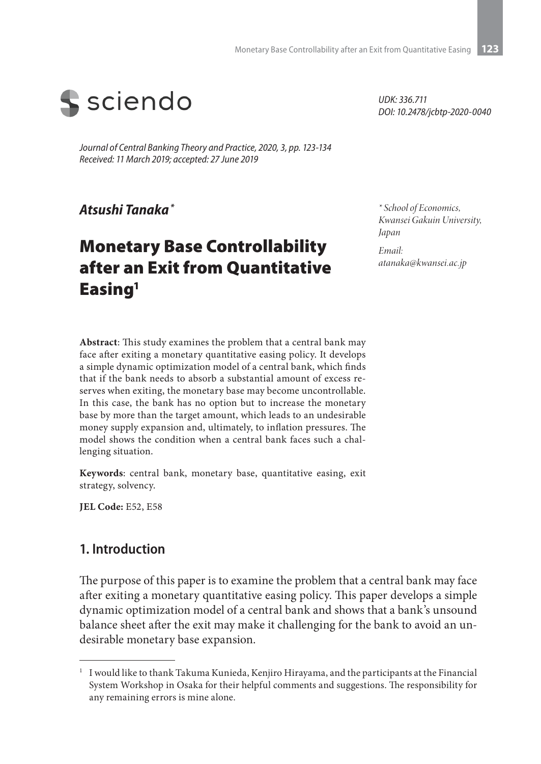

*Journal of Central Banking Theory and Practice, 2020, 3, pp. 123-134 Received: 11 March 2019; accepted: 27 June 2019*

*Atsushi Tanaka \**

# Monetary Base Controllability after an Exit from Quantitative Easing<sup>1</sup>

*UDK: 336.711 DOI: 10.2478/jcbtp-2020-0040*

*\* School of Economics, Kwansei Gakuin University, Japan*

*Email: atanaka@kwansei.ac.jp*

**Abstract**: This study examines the problem that a central bank may face after exiting a monetary quantitative easing policy. It develops a simple dynamic optimization model of a central bank, which finds that if the bank needs to absorb a substantial amount of excess reserves when exiting, the monetary base may become uncontrollable. In this case, the bank has no option but to increase the monetary base by more than the target amount, which leads to an undesirable money supply expansion and, ultimately, to inflation pressures. The model shows the condition when a central bank faces such a challenging situation.

**Keywords**: central bank, monetary base, quantitative easing, exit strategy, solvency.

**JEL Code:** E52, E58

#### **1.** Introduction

The purpose of this paper is to examine the problem that a central bank may face after exiting a monetary quantitative easing policy. This paper develops a simple dynamic optimization model of a central bank and shows that a bank's unsound balance sheet after the exit may make it challenging for the bank to avoid an undesirable monetary base expansion.

 $^{\rm 1}~$  I would like to thank Takuma Kunieda, Kenjiro Hirayama, and the participants at the Financial System Workshop in Osaka for their helpful comments and suggestions. The responsibility for any remaining errors is mine alone.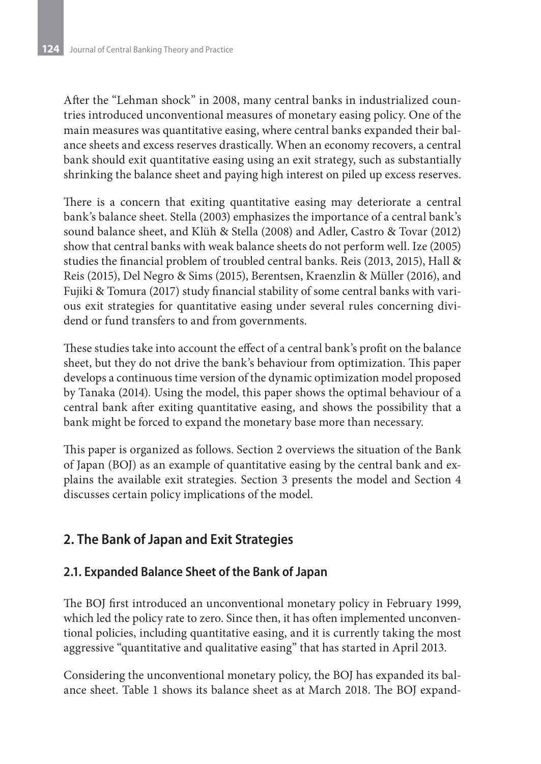After the "Lehman shock" in 2008, many central banks in industrialized countries introduced unconventional measures of monetary easing policy. One of the main measures was quantitative easing, where central banks expanded their balance sheets and excess reserves drastically. When an economy recovers, a central bank should exit quantitative easing using an exit strategy, such as substantially shrinking the balance sheet and paying high interest on piled up excess reserves.

There is a concern that exiting quantitative easing may deteriorate a central bank's balance sheet. Stella (2003) emphasizes the importance of a central bank's sound balance sheet, and Klüh & Stella (2008) and Adler, Castro & Tovar (2012) show that central banks with weak balance sheets do not perform well. Ize (2005) studies the financial problem of troubled central banks. Reis (2013, 2015), Hall & Reis (2015), Del Negro & Sims (2015), Berentsen, Kraenzlin & Müller (2016), and Fujiki & Tomura (2017) study financial stability of some central banks with various exit strategies for quantitative easing under several rules concerning dividend or fund transfers to and from governments.

These studies take into account the effect of a central bank's profit on the balance sheet, but they do not drive the bank's behaviour from optimization. This paper develops a continuous time version of the dynamic optimization model proposed by Tanaka (2014). Using the model, this paper shows the optimal behaviour of a central bank after exiting quantitative easing, and shows the possibility that a bank might be forced to expand the monetary base more than necessary.

This paper is organized as follows. Section 2 overviews the situation of the Bank of Japan (BOJ) as an example of quantitative easing by the central bank and explains the available exit strategies. Section 3 presents the model and Section 4 discusses certain policy implications of the model.

# **2. The Bank of Japan and Exit Strategies**

### **2.1. Expanded Balance Sheet of the Bank of Japan**

The BOJ first introduced an unconventional monetary policy in February 1999, which led the policy rate to zero. Since then, it has often implemented unconventional policies, including quantitative easing, and it is currently taking the most aggressive "quantitative and qualitative easing" that has started in April 2013.

Considering the unconventional monetary policy, the BOJ has expanded its balance sheet. Table 1 shows its balance sheet as at March 2018. The BOJ expand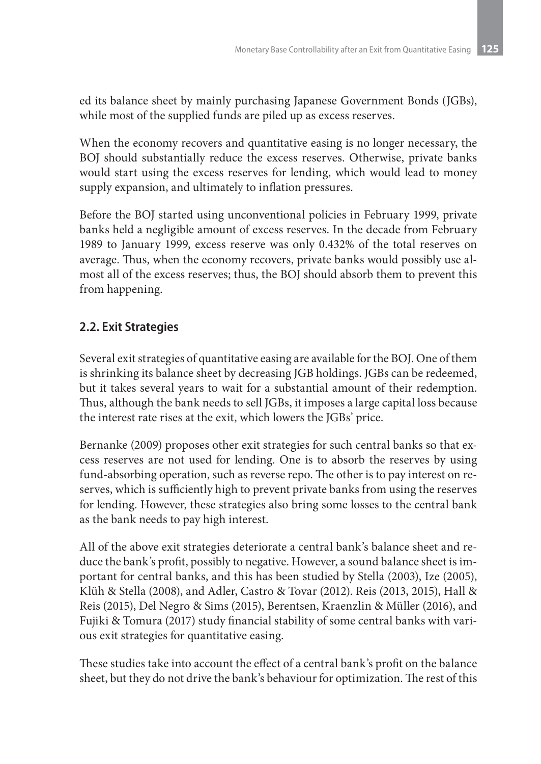ed its balance sheet by mainly purchasing Japanese Government Bonds (JGBs), while most of the supplied funds are piled up as excess reserves.

When the economy recovers and quantitative easing is no longer necessary, the BOJ should substantially reduce the excess reserves. Otherwise, private banks would start using the excess reserves for lending, which would lead to money supply expansion, and ultimately to inflation pressures.

Before the BOJ started using unconventional policies in February 1999, private banks held a negligible amount of excess reserves. In the decade from February 1989 to January 1999, excess reserve was only 0.432% of the total reserves on average. Thus, when the economy recovers, private banks would possibly use almost all of the excess reserves; thus, the BOJ should absorb them to prevent this from happening.

### **2.2. Exit Strategies**

Several exit strategies of quantitative easing are available for the BOJ. One of them is shrinking its balance sheet by decreasing JGB holdings. JGBs can be redeemed, but it takes several years to wait for a substantial amount of their redemption. Thus, although the bank needs to sell JGBs, it imposes a large capital loss because the interest rate rises at the exit, which lowers the JGBs' price.

Bernanke (2009) proposes other exit strategies for such central banks so that excess reserves are not used for lending. One is to absorb the reserves by using fund-absorbing operation, such as reverse repo. The other is to pay interest on reserves, which is sufficiently high to prevent private banks from using the reserves for lending. However, these strategies also bring some losses to the central bank as the bank needs to pay high interest.

All of the above exit strategies deteriorate a central bank's balance sheet and reduce the bank's profit, possibly to negative. However, a sound balance sheet is important for central banks, and this has been studied by Stella (2003), Ize (2005), Klüh & Stella (2008), and Adler, Castro & Tovar (2012). Reis (2013, 2015), Hall & Reis (2015), Del Negro & Sims (2015), Berentsen, Kraenzlin & Müller (2016), and Fujiki & Tomura (2017) study financial stability of some central banks with various exit strategies for quantitative easing.

These studies take into account the effect of a central bank's profit on the balance sheet, but they do not drive the bank's behaviour for optimization. The rest of this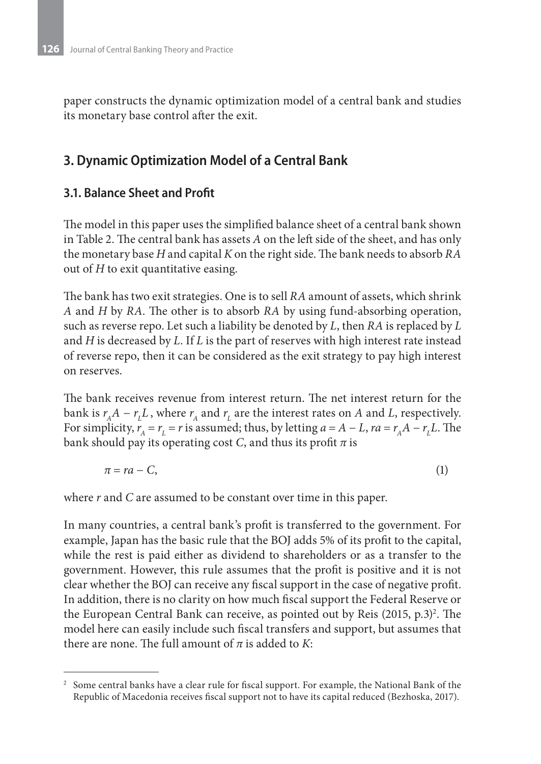paper constructs the dynamic optimization model of a central bank and studies its monetary base control after the exit.

## **3. Dynamic Optimization Model of a Central Bank**

### **3.1. Balance Sheet and Profit**

The model in this paper uses the simplified balance sheet of a central bank shown in Table 2. The central bank has assets *A* on the left side of the sheet, and has only the monetary base *H* and capital *K* on the right side. The bank needs to absorb *RA* out of *H* to exit quantitative easing.

The bank has two exit strategies. One is to sell *RA* amount of assets, which shrink *A* and *H* by *RA*. The other is to absorb *RA* by using fund-absorbing operation, such as reverse repo. Let such a liability be denoted by *L*, then *RA* is replaced by *L* and *H* is decreased by *L*. If *L* is the part of reserves with high interest rate instead of reverse repo, then it can be considered as the exit strategy to pay high interest on reserves.

The bank receives revenue from interest return. The net interest return for the bank is  $r_A A - r_L L$ , where  $r_A$  and  $r_L$  are the interest rates on *A* and *L*, respectively. For simplicity,  $r_A = r_L = r$  is assumed; thus, by letting  $a = A - L$ ,  $ra = r_A A - r_L L$ . The bank should pay its operating cost *C*, and thus its profit  $\pi$  is

$$
\pi = ra - C,\tag{1}
$$

where *r* and *C* are assumed to be constant over time in this paper.

In many countries, a central bank's profit is transferred to the government. For example, Japan has the basic rule that the BOJ adds 5% of its profit to the capital, while the rest is paid either as dividend to shareholders or as a transfer to the government. However, this rule assumes that the profit is positive and it is not clear whether the BOJ can receive any fiscal support in the case of negative profit. In addition, there is no clarity on how much fiscal support the Federal Reserve or the European Central Bank can receive, as pointed out by Reis (2015, p.3)<sup>2</sup>. The model here can easily include such fiscal transfers and support, but assumes that there are none. The full amount of  $\pi$  is added to *K*:

<sup>2</sup> Some central banks have a clear rule for fiscal support. For example, the National Bank of the Republic of Macedonia receives fiscal support not to have its capital reduced (Bezhoska, 2017).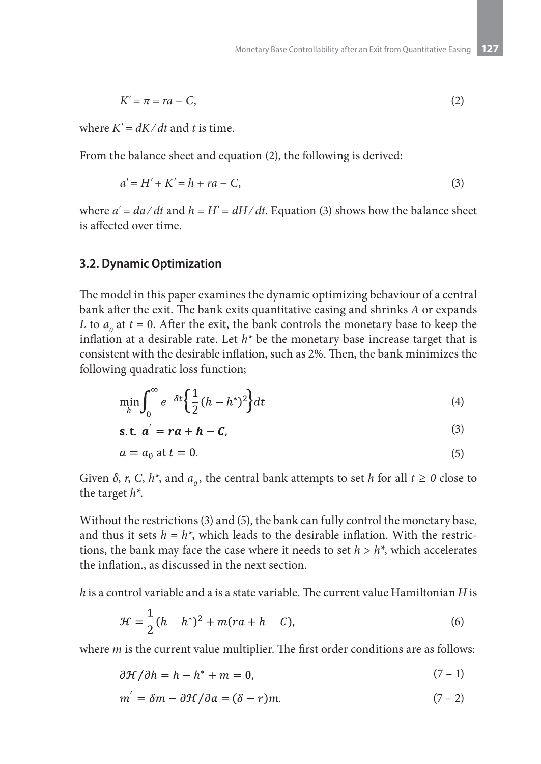$$
K' = \pi = ra - C,\tag{2}
$$

where  $K' = dK/dt$  and t is time.

From the balance sheet and equation (2), the following is derived:

$$
a' = H' + K' = h + ra - C,
$$
\n(3)

where  $a' = da/dt$  and  $h = H' = dH/dt$ . Equation (3) shows how the balance sheet is affected over time.

#### **3.2. Dynamic Optimization**

The model in this paper examines the dynamic optimizing behaviour of a central bank after the exit. The bank exits quantitative easing and shrinks *A* or expands *L* to  $a_0$  at  $t = 0$ . After the exit, the bank controls the monetary base to keep the inflation at a desirable rate. Let  $h^*$  be the monetary base increase target that is consistent with the desirable inflation, such as 2%. Then, the bank minimizes the following quadratic loss function;

$$
\min_{h} \int_{0}^{\infty} e^{-\delta t} \left\{ \frac{1}{2} (h - h^{*})^{2} \right\} dt \tag{4}
$$

$$
s.t. \alpha' = ra + h - C,\tag{3}
$$

$$
a = a_0 \text{ at } t = 0. \tag{5}
$$

Given  $\delta$ , *r*, *C*,  $h^*$ , and  $a_0$ , the central bank attempts to set *h* for all  $t \ge 0$  close to the target *h\**.

Without the restrictions (3) and (5), the bank can fully control the monetary base, and thus it sets  $h = h^*$ , which leads to the desirable inflation. With the restrictions, the bank may face the case where it needs to set  $h > h^*$ , which accelerates the inflation., as discussed in the next section.

*h* is a control variable and a is a state variable. The current value Hamiltonian *H* is

$$
\mathcal{H} = \frac{1}{2}(h - h^*)^2 + m-ra + h - C),\tag{6}
$$

where *m* is the current value multiplier. The first order conditions are as follows:

$$
\frac{\partial \mathcal{H}}{\partial h} = h - h^* + m = 0,\tag{7-1}
$$

$$
m' = \delta m - \partial \mathcal{H} / \partial a = (\delta - r)m. \tag{7-2}
$$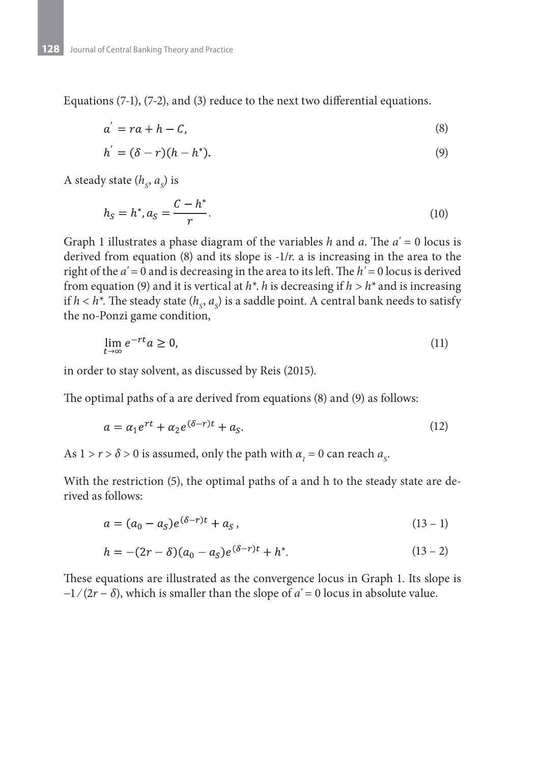Equations (7-1), (7-2), and (3) reduce to the next two differential equations.

$$
a' = ra + h - C,\tag{8}
$$

$$
h' = (\delta - r)(h - h^*). \tag{9}
$$

A steady state (*h<sub>s</sub>*, *a<sub>s</sub>*) is

$$
h_S = h^*, a_S = \frac{C - h^*}{r}.
$$
\n(10)

Graph 1 illustrates a phase diagram of the variables *h* and *a*. The *a' =* 0 locus is derived from equation (8) and its slope is  $-1/r$ . a is increasing in the area to the right of the *a' =* 0 and is decreasing in the area to its left. The *h' =* 0 locus is derived from equation (9) and it is vertical at *h\**. *h* is decreasing if *h > h\** and is increasing if  $h < h^*$ . The steady state  $(h_s, a_s)$  is a saddle point. A central bank needs to satisfy the no-Ponzi game condition,

$$
\lim_{t \to \infty} e^{-rt} a \ge 0,\tag{11}
$$

in order to stay solvent, as discussed by Reis (2015).

The optimal paths of a are derived from equations (8) and (9) as follows:

$$
a = \alpha_1 e^{rt} + \alpha_2 e^{(\delta - r)t} + a_{\mathcal{S}}.
$$
\n<sup>(12)</sup>

As  $1 > r > \delta > 0$  is assumed, only the path with  $\alpha_1 = 0$  can reach  $a_s$ .

With the restriction (5), the optimal paths of a and h to the steady state are derived as follows:

$$
a = (a_0 - a_S)e^{(\delta - r)t} + a_S,
$$
\n(13 - 1)

$$
h = -(2r - \delta)(a_0 - a_5)e^{(\delta - r)t} + h^*.
$$
 (13 - 2)

These equations are illustrated as the convergence locus in Graph 1. Its slope is −1 ⁄ (2*r* − *δ*), which is smaller than the slope of *a'* = 0 locus in absolute value.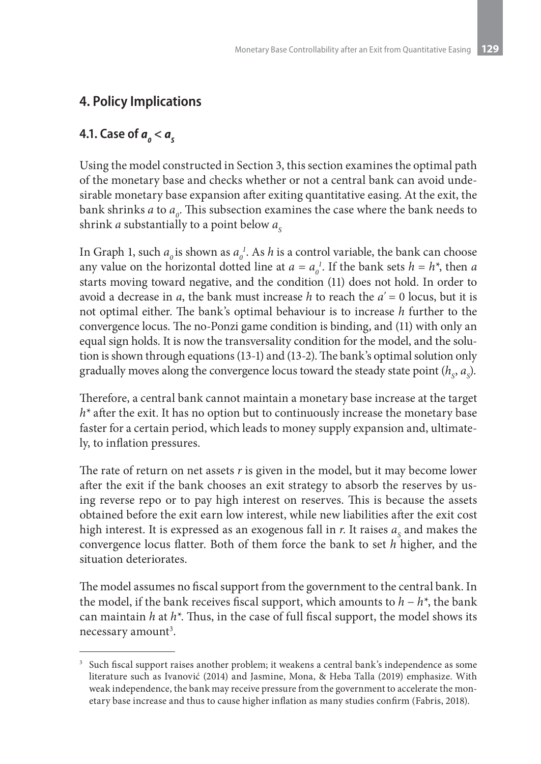# **4. Policy Implications**

# **4.1. Case of**  $a_o < a_s$

Using the model constructed in Section 3, this section examines the optimal path of the monetary base and checks whether or not a central bank can avoid undesirable monetary base expansion after exiting quantitative easing. At the exit, the bank shrinks *a* to  $a_{\varrho}$ . This subsection examines the case where the bank needs to shrink *a* substantially to a point below  $a_{\rm s}$ 

In Graph 1, such  $a_0$  is shown as  $a_0^I$ . As *h* is a control variable, the bank can choose any value on the horizontal dotted line at  $a = a_0^l$ . If the bank sets  $h = h^*$ , then *a* starts moving toward negative, and the condition (11) does not hold. In order to avoid a decrease in *a*, the bank must increase *h* to reach the *a'* = 0 locus, but it is not optimal either. The bank's optimal behaviour is to increase *h* further to the convergence locus. The no-Ponzi game condition is binding, and (11) with only an equal sign holds. It is now the transversality condition for the model, and the solution is shown through equations (13-1) and (13-2). The bank's optimal solution only gradually moves along the convergence locus toward the steady state point  $(h_{\varsigma}, a_{\varsigma})$ .

Therefore, a central bank cannot maintain a monetary base increase at the target *h\** after the exit. It has no option but to continuously increase the monetary base faster for a certain period, which leads to money supply expansion and, ultimately, to inflation pressures.

The rate of return on net assets *r* is given in the model, but it may become lower after the exit if the bank chooses an exit strategy to absorb the reserves by using reverse repo or to pay high interest on reserves. This is because the assets obtained before the exit earn low interest, while new liabilities after the exit cost high interest. It is expressed as an exogenous fall in  $r$ . It raises  $a<sub>s</sub>$  and makes the convergence locus flatter. Both of them force the bank to set *h* higher, and the situation deteriorates.

The model assumes no fiscal support from the government to the central bank. In the model, if the bank receives fiscal support, which amounts to *h* − *h\**, the bank can maintain *h* at *h\**. Thus, in the case of full fiscal support, the model shows its necessary amount<sup>3</sup>.

<sup>&</sup>lt;sup>3</sup> Such fiscal support raises another problem; it weakens a central bank's independence as some literature such as Ivanović (2014) and Jasmine, Mona, & Heba Talla (2019) emphasize. With weak independence, the bank may receive pressure from the government to accelerate the monetary base increase and thus to cause higher inflation as many studies confirm (Fabris, 2018).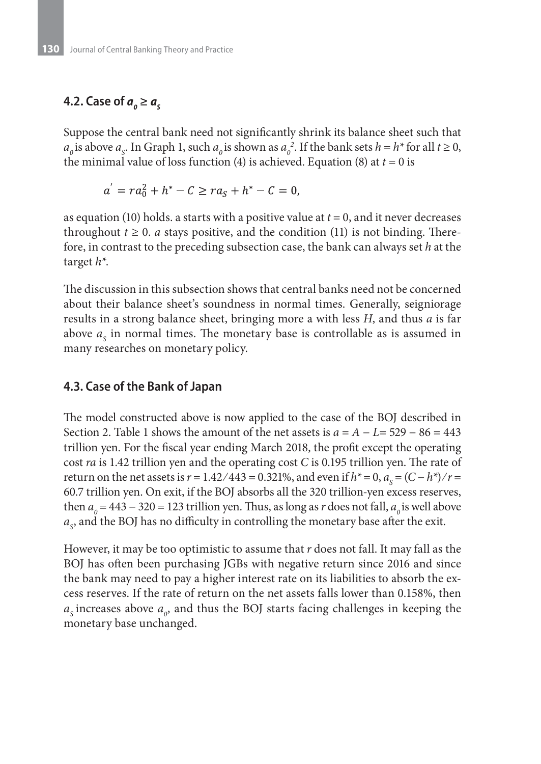# **4.2. Case of**  $a_0 ≥ a_s$

Suppose the central bank need not significantly shrink its balance sheet such that  $a_0$  is above  $a_s$ . In Graph 1, such  $a_0$  is shown as  $a_0^2$ . If the bank sets  $h = h^*$  for all  $t \ge 0$ , the minimal value of loss function (4) is achieved. Equation (8) at  $t = 0$  is

$$
a' = ra_0^2 + h^* - C \ge ra_s + h^* - C = 0,
$$

as equation (10) holds. a starts with a positive value at *t* = 0, and it never decreases throughout  $t \geq 0$ . *a* stays positive, and the condition (11) is not binding. Therefore, in contrast to the preceding subsection case, the bank can always set *h* at the target *h\**.

The discussion in this subsection shows that central banks need not be concerned about their balance sheet's soundness in normal times. Generally, seigniorage results in a strong balance sheet, bringing more a with less *H*, and thus *a* is far above  $a_{\rm s}$  in normal times. The monetary base is controllable as is assumed in many researches on monetary policy.

#### **4.3. Case of the Bank of Japan**

The model constructed above is now applied to the case of the BOJ described in Section 2. Table 1 shows the amount of the net assets is  $a = A - L = 529 - 86 = 443$ trillion yen. For the fiscal year ending March 2018, the profit except the operating cost *ra* is 1.42 trillion yen and the operating cost *C* is 0.195 trillion yen. The rate of return on the net assets is  $r = 1.42 / 443 = 0.321$ %, and even if  $h^* = 0$ ,  $a_s = (C - h^*) / r =$ 60.7 trillion yen. On exit, if the BOJ absorbs all the 320 trillion-yen excess reserves, then  $a_0 = 443 - 320 = 123$  trillion yen. Thus, as long as *r* does not fall,  $a_0$  is well above  $a_{\rm s}$ , and the BOJ has no difficulty in controlling the monetary base after the exit.

However, it may be too optimistic to assume that *r* does not fall. It may fall as the BOJ has often been purchasing JGBs with negative return since 2016 and since the bank may need to pay a higher interest rate on its liabilities to absorb the excess reserves. If the rate of return on the net assets falls lower than 0.158%, then  $a_{\rm s}$  increases above  $a_{\rm o}$ , and thus the BOJ starts facing challenges in keeping the monetary base unchanged.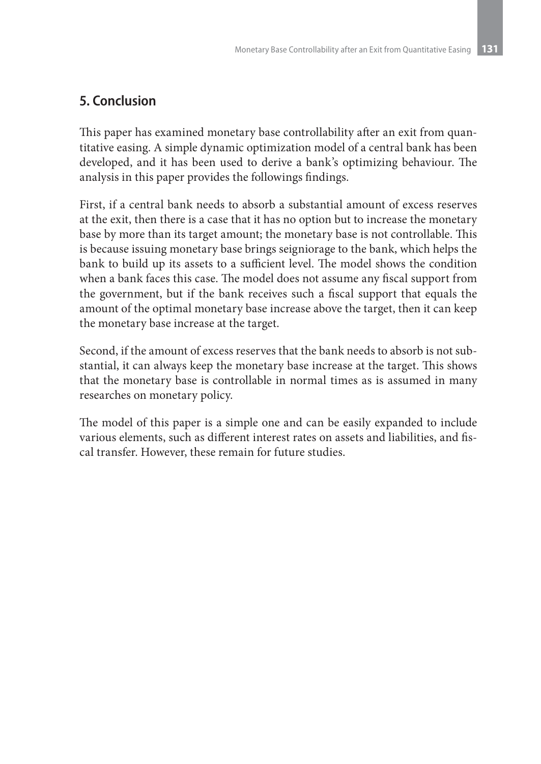# **5. Conclusion**

This paper has examined monetary base controllability after an exit from quantitative easing. A simple dynamic optimization model of a central bank has been developed, and it has been used to derive a bank's optimizing behaviour. The analysis in this paper provides the followings findings.

First, if a central bank needs to absorb a substantial amount of excess reserves at the exit, then there is a case that it has no option but to increase the monetary base by more than its target amount; the monetary base is not controllable. This is because issuing monetary base brings seigniorage to the bank, which helps the bank to build up its assets to a sufficient level. The model shows the condition when a bank faces this case. The model does not assume any fiscal support from the government, but if the bank receives such a fiscal support that equals the amount of the optimal monetary base increase above the target, then it can keep the monetary base increase at the target.

Second, if the amount of excess reserves that the bank needs to absorb is not substantial, it can always keep the monetary base increase at the target. This shows that the monetary base is controllable in normal times as is assumed in many researches on monetary policy.

The model of this paper is a simple one and can be easily expanded to include various elements, such as different interest rates on assets and liabilities, and fiscal transfer. However, these remain for future studies.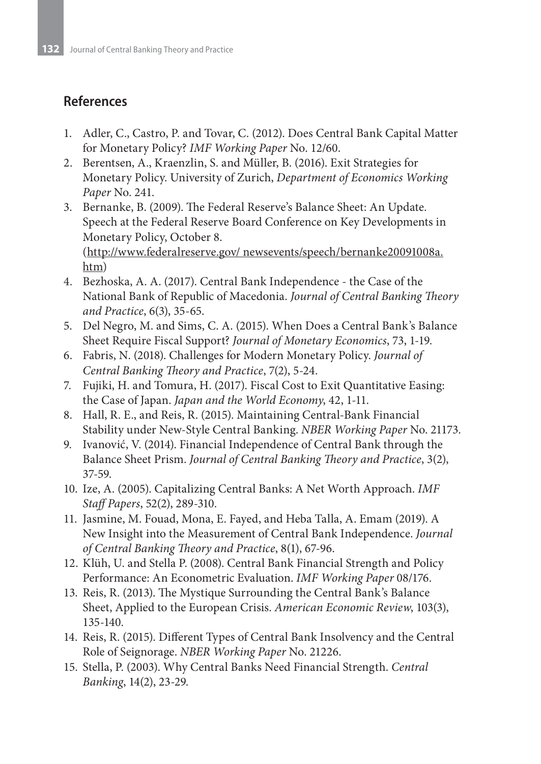### **References**

- 1. Adler, C., Castro, P. and Tovar, C. (2012). Does Central Bank Capital Matter for Monetary Policy? *IMF Working Paper* No. 12/60.
- 2. Berentsen, A., Kraenzlin, S. and Müller, B. (2016). Exit Strategies for Monetary Policy. University of Zurich, *Department of Economics Working Paper* No. 241.
- 3. Bernanke, B. (2009). The Federal Reserve's Balance Sheet: An Update. Speech at the Federal Reserve Board Conference on Key Developments in Monetary Policy, October 8. (http://www.federalreserve.gov/ newsevents/speech/bernanke20091008a.
- htm) 4. Bezhoska, A. A. (2017). Central Bank Independence - the Case of the National Bank of Republic of Macedonia. *Journal of Central Banking Theory and Practice*, 6(3), 35-65.
- 5. Del Negro, M. and Sims, C. A. (2015). When Does a Central Bank's Balance Sheet Require Fiscal Support? *Journal of Monetary Economics*, 73, 1-19.
- 6. Fabris, N. (2018). Challenges for Modern Monetary Policy. *Journal of Central Banking Theory and Practice*, 7(2), 5-24.
- 7. Fujiki, H. and Tomura, H. (2017). Fiscal Cost to Exit Quantitative Easing: the Case of Japan. *Japan and the World Economy*, 42, 1-11.
- 8. Hall, R. E., and Reis, R. (2015). Maintaining Central-Bank Financial Stability under New-Style Central Banking. *NBER Working Paper* No. 21173.
- 9. Ivanović, V. (2014). Financial Independence of Central Bank through the Balance Sheet Prism. *Journal of Central Banking Theory and Practice*, 3(2), 37-59.
- 10. Ize, A. (2005). Capitalizing Central Banks: A Net Worth Approach. *IMF Staff Papers*, 52(2), 289-310.
- 11. Jasmine, M. Fouad, Mona, E. Fayed, and Heba Talla, A. Emam (2019). A New Insight into the Measurement of Central Bank Independence. *Journal of Central Banking Theory and Practice*, 8(1), 67-96.
- 12. Klüh, U. and Stella P. (2008). Central Bank Financial Strength and Policy Performance: An Econometric Evaluation. *IMF Working Paper* 08/176.
- 13. Reis, R. (2013). The Mystique Surrounding the Central Bank's Balance Sheet, Applied to the European Crisis. *American Economic Review*, 103(3), 135-140.
- 14. Reis, R. (2015). Different Types of Central Bank Insolvency and the Central Role of Seignorage. *NBER Working Paper* No. 21226.
- 15. Stella, P. (2003). Why Central Banks Need Financial Strength. *Central Banking*, 14(2), 23-29.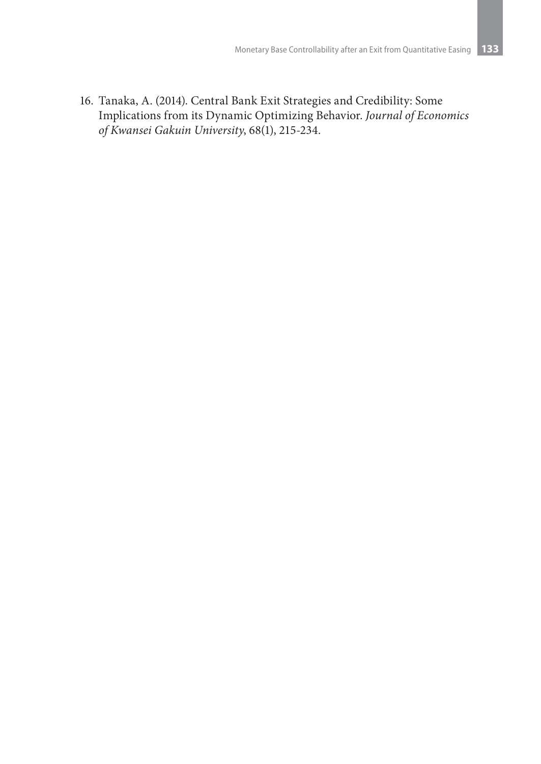16. Tanaka, A. (2014). Central Bank Exit Strategies and Credibility: Some Implications from its Dynamic Optimizing Behavior. *Journal of Economics of Kwansei Gakuin University*, 68(1), 215-234.